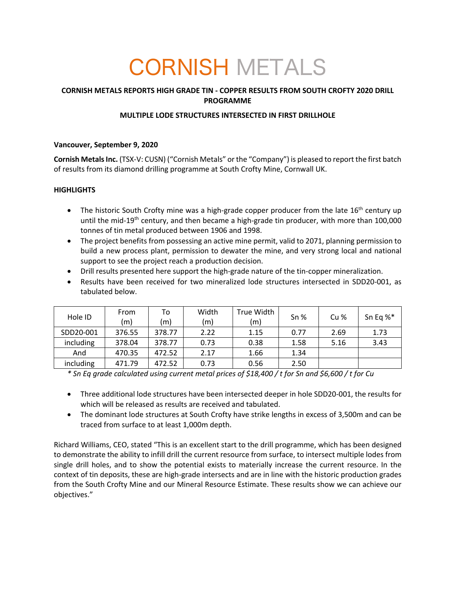# CORNISH METALS

# **CORNISH METALS REPORTS HIGH GRADE TIN - COPPER RESULTS FROM SOUTH CROFTY 2020 DRILL PROGRAMME**

## **MULTIPLE LODE STRUCTURES INTERSECTED IN FIRST DRILLHOLE**

## **Vancouver, September 9, 2020**

**Cornish Metals Inc.** (TSX-V: CUSN) ("Cornish Metals" or the "Company") is pleased to report the first batch of results from its diamond drilling programme at South Crofty Mine, Cornwall UK.

## **HIGHLIGHTS**

- The historic South Crofty mine was a high-grade copper producer from the late  $16<sup>th</sup>$  century up until the mid-19<sup>th</sup> century, and then became a high-grade tin producer, with more than 100,000 tonnes of tin metal produced between 1906 and 1998.
- The project benefits from possessing an active mine permit, valid to 2071, planning permission to build a new process plant, permission to dewater the mine, and very strong local and national support to see the project reach a production decision.
- Drill results presented here support the high-grade nature of the tin-copper mineralization.
- Results have been received for two mineralized lode structures intersected in SDD20-001, as tabulated below.

| Hole ID   | From   | To     | Width | True Width | Sn <sub>%</sub> | Cu % | Sn Eq %* |
|-----------|--------|--------|-------|------------|-----------------|------|----------|
|           | (m)    | (m)    | (m)   | (m)        |                 |      |          |
| SDD20-001 | 376.55 | 378.77 | 2.22  | 1.15       | 0.77            | 2.69 | 1.73     |
| including | 378.04 | 378.77 | 0.73  | 0.38       | 1.58            | 5.16 | 3.43     |
| And       | 470.35 | 472.52 | 2.17  | 1.66       | 1.34            |      |          |
| including | 471.79 | 472.52 | 0.73  | 0.56       | 2.50            |      |          |

*\* Sn Eq grade calculated using current metal prices of \$18,400 / t for Sn and \$6,600 / t for Cu*

- Three additional lode structures have been intersected deeper in hole SDD20-001, the results for which will be released as results are received and tabulated.
- The dominant lode structures at South Crofty have strike lengths in excess of 3,500m and can be traced from surface to at least 1,000m depth.

Richard Williams, CEO, stated "This is an excellent start to the drill programme, which has been designed to demonstrate the ability to infill drill the current resource from surface, to intersect multiple lodes from single drill holes, and to show the potential exists to materially increase the current resource. In the context of tin deposits, these are high-grade intersects and are in line with the historic production grades from the South Crofty Mine and our Mineral Resource Estimate. These results show we can achieve our objectives."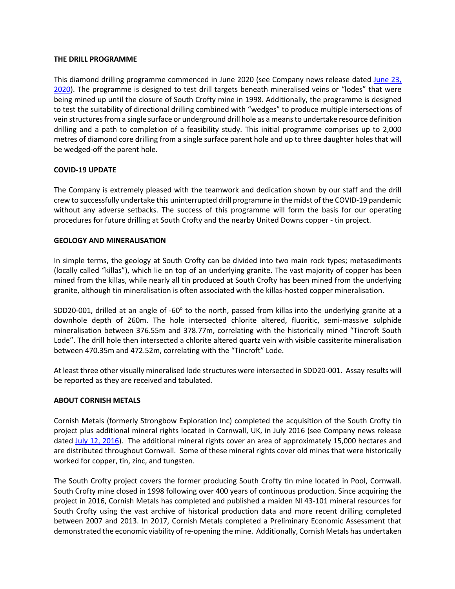#### **THE DRILL PROGRAMME**

This diamond drilling programme commenced in June 2020 (see Company news release dated June 23, 2020). The programme is designed to test drill targets beneath mineralised veins or "lodes" that were being mined up until the closure of South Crofty mine in 1998. Additionally, the programme is designed to test the suitability of directional drilling combined with "wedges" to produce multiple intersections of vein structures from a single surface or underground drill hole as a means to undertake resource definition drilling and a path to completion of a feasibility study. This initial programme comprises up to 2,000 metres of diamond core drilling from a single surface parent hole and up to three daughter holes that will be wedged-off the parent hole.

## **COVID-19 UPDATE**

The Company is extremely pleased with the teamwork and dedication shown by our staff and the drill crew to successfully undertake this uninterrupted drill programme in the midst of the COVID-19 pandemic without any adverse setbacks. The success of this programme will form the basis for our operating procedures for future drilling at South Crofty and the nearby United Downs copper - tin project.

#### **GEOLOGY AND MINERALISATION**

In simple terms, the geology at South Crofty can be divided into two main rock types; metasediments (locally called "killas"), which lie on top of an underlying granite. The vast majority of copper has been mined from the killas, while nearly all tin produced at South Crofty has been mined from the underlying granite, although tin mineralisation is often associated with the killas-hosted copper mineralisation.

SDD20-001, drilled at an angle of -60° to the north, passed from killas into the underlying granite at a downhole depth of 260m. The hole intersected chlorite altered, fluoritic, semi-massive sulphide mineralisation between 376.55m and 378.77m, correlating with the historically mined "Tincroft South Lode". The drill hole then intersected a chlorite altered quartz vein with visible cassiterite mineralisation between 470.35m and 472.52m, correlating with the "Tincroft" Lode.

At least three other visually mineralised lode structures were intersected in SDD20-001. Assay results will be reported as they are received and tabulated.

#### **ABOUT CORNISH METALS**

Cornish Metals (formerly Strongbow Exploration Inc) completed the acquisition of the South Crofty tin project plus additional mineral rights located in Cornwall, UK, in July 2016 (see Company news release dated July 12, 2016). The additional mineral rights cover an area of approximately 15,000 hectares and are distributed throughout Cornwall. Some of these mineral rights cover old mines that were historically worked for copper, tin, zinc, and tungsten.

The South Crofty project covers the former producing South Crofty tin mine located in Pool, Cornwall. South Crofty mine closed in 1998 following over 400 years of continuous production. Since acquiring the project in 2016, Cornish Metals has completed and published a maiden NI 43-101 mineral resources for South Crofty using the vast archive of historical production data and more recent drilling completed between 2007 and 2013. In 2017, Cornish Metals completed a Preliminary Economic Assessment that demonstrated the economic viability of re-opening the mine. Additionally, Cornish Metals has undertaken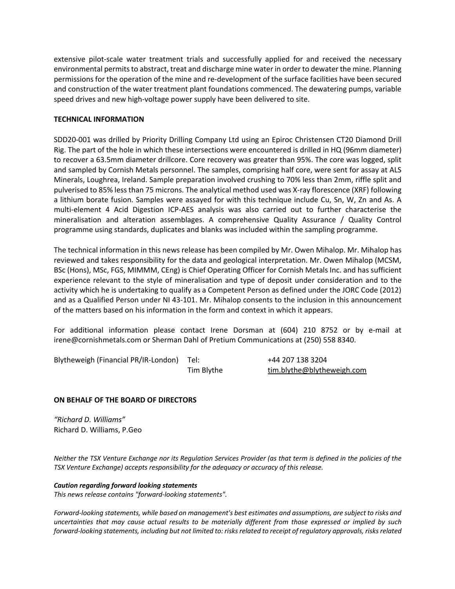extensive pilot-scale water treatment trials and successfully applied for and received the necessary environmental permits to abstract, treat and discharge mine water in order to dewater the mine. Planning permissions for the operation of the mine and re-development of the surface facilities have been secured and construction of the water treatment plant foundations commenced. The dewatering pumps, variable speed drives and new high-voltage power supply have been delivered to site.

#### **TECHNICAL INFORMATION**

SDD20-001 was drilled by Priority Drilling Company Ltd using an Epiroc Christensen CT20 Diamond Drill Rig. The part of the hole in which these intersections were encountered is drilled in HQ (96mm diameter) to recover a 63.5mm diameter drillcore. Core recovery was greater than 95%. The core was logged, split and sampled by Cornish Metals personnel. The samples, comprising half core, were sent for assay at ALS Minerals, Loughrea, Ireland. Sample preparation involved crushing to 70% less than 2mm, riffle split and pulverised to 85% less than 75 microns. The analytical method used was X-ray florescence (XRF) following a lithium borate fusion. Samples were assayed for with this technique include Cu, Sn, W, Zn and As. A multi-element 4 Acid Digestion ICP-AES analysis was also carried out to further characterise the mineralisation and alteration assemblages. A comprehensive Quality Assurance / Quality Control programme using standards, duplicates and blanks was included within the sampling programme.

The technical information in this news release has been compiled by Mr. Owen Mihalop. Mr. Mihalop has reviewed and takes responsibility for the data and geological interpretation. Mr. Owen Mihalop (MCSM, BSc (Hons), MSc, FGS, MIMMM, CEng) is Chief Operating Officer for Cornish Metals Inc. and has sufficient experience relevant to the style of mineralisation and type of deposit under consideration and to the activity which he is undertaking to qualify as a Competent Person as defined under the JORC Code (2012) and as a Qualified Person under NI 43-101. Mr. Mihalop consents to the inclusion in this announcement of the matters based on his information in the form and context in which it appears.

For additional information please contact Irene Dorsman at (604) 210 8752 or by e-mail at irene@cornishmetals.com or Sherman Dahl of Pretium Communications at (250) 558 8340.

Blytheweigh (Financial PR/IR-London) Tel: +44 207 138 3204

Tim Blythe tim.blythe@blytheweigh.com

#### **ON BEHALF OF THE BOARD OF DIRECTORS**

*"Richard D. Williams"* Richard D. Williams, P.Geo

*Neither the TSX Venture Exchange nor its Regulation Services Provider (as that term is defined in the policies of the TSX Venture Exchange) accepts responsibility for the adequacy or accuracy of this release.*

*Caution regarding forward looking statements This news release contains "forward-looking statements".*

*Forward-looking statements, while based on management's best estimates and assumptions, are subject to risks and uncertainties that may cause actual results to be materially different from those expressed or implied by such forward-looking statements, including but not limited to: risks related to receipt of regulatory approvals, risks related*